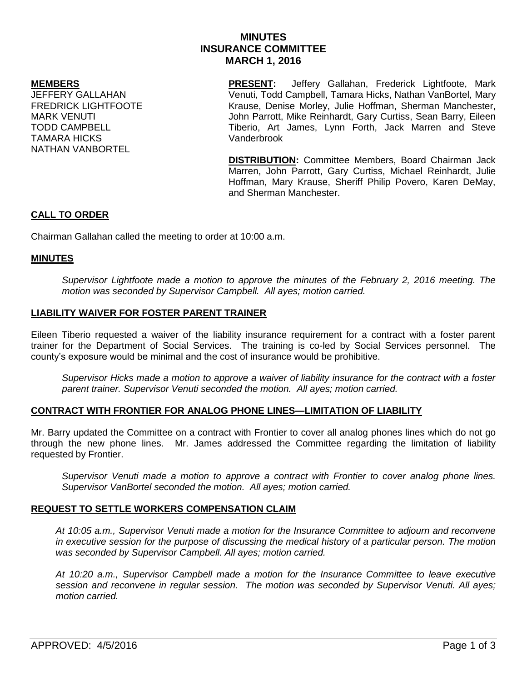# **MINUTES INSURANCE COMMITTEE MARCH 1, 2016**

#### **MEMBERS**

JEFFERY GALLAHAN FREDRICK LIGHTFOOTE MARK VENUTI TODD CAMPBELL TAMARA HICKS NATHAN VANBORTEL

**PRESENT:** Jeffery Gallahan, Frederick Lightfoote, Mark Venuti, Todd Campbell, Tamara Hicks, Nathan VanBortel, Mary Krause, Denise Morley, Julie Hoffman, Sherman Manchester, John Parrott, Mike Reinhardt, Gary Curtiss, Sean Barry, Eileen Tiberio, Art James, Lynn Forth, Jack Marren and Steve Vanderbrook

**DISTRIBUTION:** Committee Members, Board Chairman Jack Marren, John Parrott, Gary Curtiss, Michael Reinhardt, Julie Hoffman, Mary Krause, Sheriff Philip Povero, Karen DeMay, and Sherman Manchester.

## **CALL TO ORDER**

Chairman Gallahan called the meeting to order at 10:00 a.m.

## **MINUTES**

*Supervisor Lightfoote made a motion to approve the minutes of the February 2, 2016 meeting. The motion was seconded by Supervisor Campbell. All ayes; motion carried.* 

# **LIABILITY WAIVER FOR FOSTER PARENT TRAINER**

Eileen Tiberio requested a waiver of the liability insurance requirement for a contract with a foster parent trainer for the Department of Social Services. The training is co-led by Social Services personnel. The county's exposure would be minimal and the cost of insurance would be prohibitive.

*Supervisor Hicks made a motion to approve a waiver of liability insurance for the contract with a foster parent trainer. Supervisor Venuti seconded the motion. All ayes; motion carried.*

### **CONTRACT WITH FRONTIER FOR ANALOG PHONE LINES—LIMITATION OF LIABILITY**

Mr. Barry updated the Committee on a contract with Frontier to cover all analog phones lines which do not go through the new phone lines. Mr. James addressed the Committee regarding the limitation of liability requested by Frontier.

*Supervisor Venuti made a motion to approve a contract with Frontier to cover analog phone lines. Supervisor VanBortel seconded the motion. All ayes; motion carried.*

### **REQUEST TO SETTLE WORKERS COMPENSATION CLAIM**

*At 10:05 a.m., Supervisor Venuti made a motion for the Insurance Committee to adjourn and reconvene in executive session for the purpose of discussing the medical history of a particular person. The motion was seconded by Supervisor Campbell. All ayes; motion carried.*

*At 10:20 a.m., Supervisor Campbell made a motion for the Insurance Committee to leave executive session and reconvene in regular session. The motion was seconded by Supervisor Venuti. All ayes; motion carried.*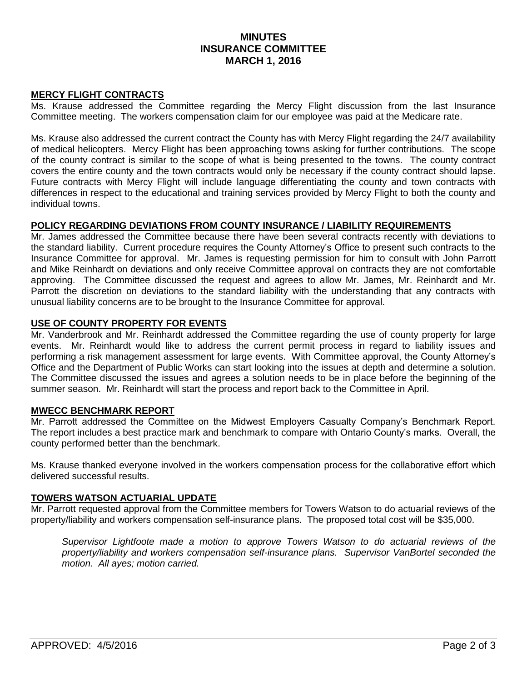# **MINUTES INSURANCE COMMITTEE MARCH 1, 2016**

## **MERCY FLIGHT CONTRACTS**

Ms. Krause addressed the Committee regarding the Mercy Flight discussion from the last Insurance Committee meeting. The workers compensation claim for our employee was paid at the Medicare rate.

Ms. Krause also addressed the current contract the County has with Mercy Flight regarding the 24/7 availability of medical helicopters. Mercy Flight has been approaching towns asking for further contributions. The scope of the county contract is similar to the scope of what is being presented to the towns. The county contract covers the entire county and the town contracts would only be necessary if the county contract should lapse. Future contracts with Mercy Flight will include language differentiating the county and town contracts with differences in respect to the educational and training services provided by Mercy Flight to both the county and individual towns.

### **POLICY REGARDING DEVIATIONS FROM COUNTY INSURANCE / LIABILITY REQUIREMENTS**

Mr. James addressed the Committee because there have been several contracts recently with deviations to the standard liability. Current procedure requires the County Attorney's Office to present such contracts to the Insurance Committee for approval. Mr. James is requesting permission for him to consult with John Parrott and Mike Reinhardt on deviations and only receive Committee approval on contracts they are not comfortable approving. The Committee discussed the request and agrees to allow Mr. James, Mr. Reinhardt and Mr. Parrott the discretion on deviations to the standard liability with the understanding that any contracts with unusual liability concerns are to be brought to the Insurance Committee for approval.

### **USE OF COUNTY PROPERTY FOR EVENTS**

Mr. Vanderbrook and Mr. Reinhardt addressed the Committee regarding the use of county property for large events. Mr. Reinhardt would like to address the current permit process in regard to liability issues and performing a risk management assessment for large events. With Committee approval, the County Attorney's Office and the Department of Public Works can start looking into the issues at depth and determine a solution. The Committee discussed the issues and agrees a solution needs to be in place before the beginning of the summer season. Mr. Reinhardt will start the process and report back to the Committee in April.

### **MWECC BENCHMARK REPORT**

Mr. Parrott addressed the Committee on the Midwest Employers Casualty Company's Benchmark Report. The report includes a best practice mark and benchmark to compare with Ontario County's marks. Overall, the county performed better than the benchmark.

Ms. Krause thanked everyone involved in the workers compensation process for the collaborative effort which delivered successful results.

### **TOWERS WATSON ACTUARIAL UPDATE**

Mr. Parrott requested approval from the Committee members for Towers Watson to do actuarial reviews of the property/liability and workers compensation self-insurance plans. The proposed total cost will be \$35,000.

*Supervisor Lightfoote made a motion to approve Towers Watson to do actuarial reviews of the property/liability and workers compensation self-insurance plans. Supervisor VanBortel seconded the motion. All ayes; motion carried.*